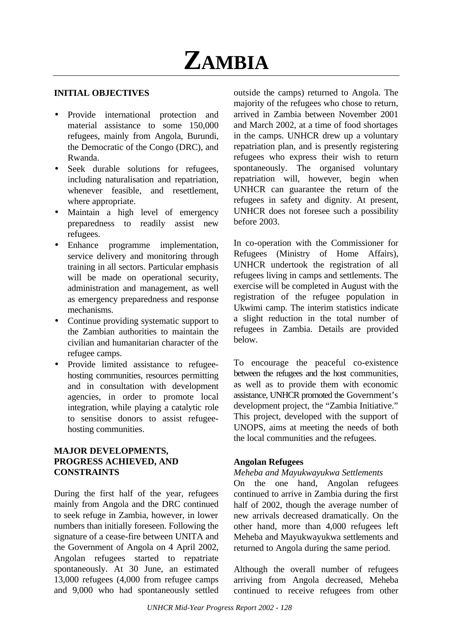

#### **INITIAL OBJECTIVES**

- Provide international protection and material assistance to some 150,000 refugees, mainly from Angola, Burundi, the Democratic of the Congo (DRC), and Rwanda.
- Seek durable solutions for refugees, including naturalisation and repatriation, whenever feasible, and resettlement, where appropriate.
- Maintain a high level of emergency preparedness to readily assist new refugees.
- Enhance programme implementation. service delivery and monitoring through training in all sectors. Particular emphasis will be made on operational security, administration and management, as well as emergency preparedness and response mechanisms.
- Continue providing systematic support to the Zambian authorities to maintain the civilian and humanitarian character of the refugee camps.
- Provide limited assistance to refugeehosting communities, resources permitting and in consultation with development agencies, in order to promote local integration, while playing a catalytic role to sensitise donors to assist refugeehosting communities.

## **MAJOR DEVELOPMENTS, PROGRESS ACHIEVED, AND CONSTRAINTS**

During the first half of the year, refugees mainly from Angola and the DRC continued to seek refuge in Zambia, however, in lower numbers than initially foreseen. Following the signature of a cease-fire between UNITA and the Government of Angola on 4 April 2002, Angolan refugees started to repatriate spontaneously. At 30 June, an estimated 13,000 refugees (4,000 from refugee camps and 9,000 who had spontaneously settled outside the camps) returned to Angola. The majority of the refugees who chose to return, arrived in Zambia between November 2001 and March 2002, at a time of food shortages in the camps. UNHCR drew up a voluntary repatriation plan, and is presently registering refugees who express their wish to return spontaneously. The organised voluntary repatriation will, however, begin when UNHCR can guarantee the return of the refugees in safety and dignity. At present, UNHCR does not foresee such a possibility before 2003.

In co-operation with the Commissioner for Refugees (Ministry of Home Affairs), UNHCR undertook the registration of all refugees living in camps and settlements. The exercise will be completed in August with the registration of the refugee population in Ukwimi camp. The interim statistics indicate a slight reduction in the total number of refugees in Zambia. Details are provided below.

To encourage the peaceful co-existence between the refugees and the host communities, as well as to provide them with economic assistance, UNHCR promoted the Government's development project, the "Zambia Initiative." This project, developed with the support of UNOPS, aims at meeting the needs of both the local communities and the refugees.

#### **Angolan Refugees**

#### *Meheba and Mayukwayukwa Settlements*

On the one hand, Angolan refugees continued to arrive in Zambia during the first half of 2002, though the average number of new arrivals decreased dramatically. On the other hand, more than 4,000 refugees left Meheba and Mayukwayukwa settlements and returned to Angola during the same period.

Although the overall number of refugees arriving from Angola decreased, Meheba continued to receive refugees from other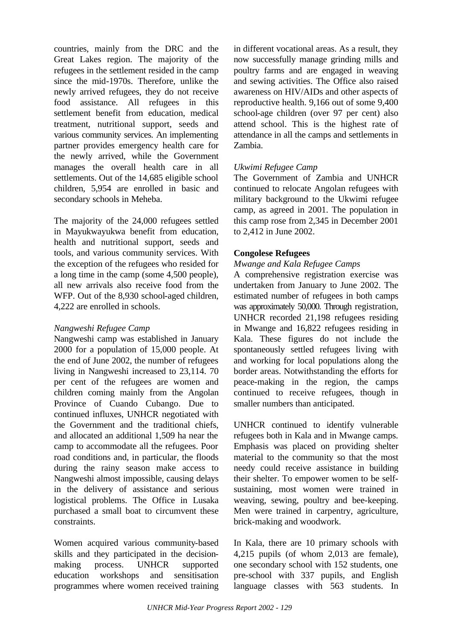countries, mainly from the DRC and the Great Lakes region. The majority of the refugees in the settlement resided in the camp since the mid-1970s. Therefore, unlike the newly arrived refugees, they do not receive food assistance. All refugees in this settlement benefit from education, medical treatment, nutritional support, seeds and various community services. An implementing partner provides emergency health care for the newly arrived, while the Government manages the overall health care in all settlements. Out of the 14,685 eligible school children, 5,954 are enrolled in basic and secondary schools in Meheba.

The majority of the 24,000 refugees settled in Mayukwayukwa benefit from education, health and nutritional support, seeds and tools, and various community services. With the exception of the refugees who resided for a long time in the camp (some 4,500 people), all new arrivals also receive food from the WFP. Out of the 8,930 school-aged children, 4,222 are enrolled in schools.

## *Nangweshi Refugee Camp*

Nangweshi camp was established in January 2000 for a population of 15,000 people. At the end of June 2002, the number of refugees living in Nangweshi increased to 23,114. 70 per cent of the refugees are women and children coming mainly from the Angolan Province of Cuando Cubango. Due to continued influxes, UNHCR negotiated with the Government and the traditional chiefs, and allocated an additional 1,509 ha near the camp to accommodate all the refugees. Poor road conditions and, in particular, the floods during the rainy season make access to Nangweshi almost impossible, causing delays in the delivery of assistance and serious logistical problems. The Office in Lusaka purchased a small boat to circumvent these constraints.

Women acquired various community-based skills and they participated in the decisionmaking process. UNHCR supported education workshops and sensitisation programmes where women received training in different vocational areas. As a result, they now successfully manage grinding mills and poultry farms and are engaged in weaving and sewing activities. The Office also raised awareness on HIV/AIDs and other aspects of reproductive health. 9,166 out of some 9,400 school-age children (over 97 per cent) also attend school. This is the highest rate of attendance in all the camps and settlements in Zambia.

# *Ukwimi Refugee Camp*

The Government of Zambia and UNHCR continued to relocate Angolan refugees with military background to the Ukwimi refugee camp, as agreed in 2001. The population in this camp rose from 2,345 in December 2001 to 2,412 in June 2002.

# **Congolese Refugees**

## *Mwange and Kala Refugee Camps*

A comprehensive registration exercise was undertaken from January to June 2002. The estimated number of refugees in both camps was approximately 50,000. Through registration, UNHCR recorded 21,198 refugees residing in Mwange and 16,822 refugees residing in Kala. These figures do not include the spontaneously settled refugees living with and working for local populations along the border areas. Notwithstanding the efforts for peace-making in the region, the camps continued to receive refugees, though in smaller numbers than anticipated.

UNHCR continued to identify vulnerable refugees both in Kala and in Mwange camps. Emphasis was placed on providing shelter material to the community so that the most needy could receive assistance in building their shelter. To empower women to be selfsustaining, most women were trained in weaving, sewing, poultry and bee-keeping. Men were trained in carpentry, agriculture, brick-making and woodwork.

In Kala, there are 10 primary schools with 4,215 pupils (of whom 2,013 are female), one secondary school with 152 students, one pre-school with 337 pupils, and English language classes with 563 students. In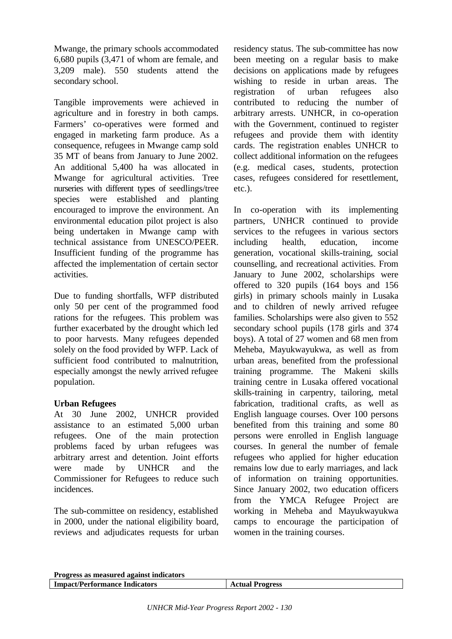Mwange, the primary schools accommodated 6,680 pupils (3,471 of whom are female, and 3,209 male). 550 students attend the secondary school.

Tangible improvements were achieved in agriculture and in forestry in both camps. Farmers' co-operatives were formed and engaged in marketing farm produce. As a consequence, refugees in Mwange camp sold 35 MT of beans from January to June 2002. An additional 5,400 ha was allocated in Mwange for agricultural activities. Tree nurseries with different types of seedlings/tree species were established and planting encouraged to improve the environment. An environmental education pilot project is also being undertaken in Mwange camp with technical assistance from UNESCO/PEER. Insufficient funding of the programme has affected the implementation of certain sector activities.

Due to funding shortfalls, WFP distributed only 50 per cent of the programmed food rations for the refugees. This problem was further exacerbated by the drought which led to poor harvests. Many refugees depended solely on the food provided by WFP. Lack of sufficient food contributed to malnutrition, especially amongst the newly arrived refugee population.

## **Urban Refugees**

At 30 June 2002, UNHCR provided assistance to an estimated 5,000 urban refugees. One of the main protection problems faced by urban refugees was arbitrary arrest and detention. Joint efforts were made by UNHCR and the Commissioner for Refugees to reduce such incidences.

The sub-committee on residency, established in 2000, under the national eligibility board, reviews and adjudicates requests for urban residency status. The sub-committee has now been meeting on a regular basis to make decisions on applications made by refugees wishing to reside in urban areas. The registration of urban refugees also contributed to reducing the number of arbitrary arrests. UNHCR, in co-operation with the Government, continued to register refugees and provide them with identity cards. The registration enables UNHCR to collect additional information on the refugees (e.g. medical cases, students, protection cases, refugees considered for resettlement, etc.).

In co-operation with its implementing partners, UNHCR continued to provide services to the refugees in various sectors including health, education, income generation, vocational skills-training, social counselling, and recreational activities. From January to June 2002, scholarships were offered to 320 pupils (164 boys and 156 girls) in primary schools mainly in Lusaka and to children of newly arrived refugee families. Scholarships were also given to 552 secondary school pupils (178 girls and 374 boys). A total of 27 women and 68 men from Meheba, Mayukwayukwa, as well as from urban areas, benefited from the professional training programme. The Makeni skills training centre in Lusaka offered vocational skills-training in carpentry, tailoring, metal fabrication, traditional crafts, as well as English language courses. Over 100 persons benefited from this training and some 80 persons were enrolled in English language courses. In general the number of female refugees who applied for higher education remains low due to early marriages, and lack of information on training opportunities. Since January 2002, two education officers from the YMCA Refugee Project are working in Meheba and Mayukwayukwa camps to encourage the participation of women in the training courses.

| Progress as measured against indicators |                        |
|-----------------------------------------|------------------------|
| <b>Impact/Performance Indicators</b>    | <b>Actual Progress</b> |